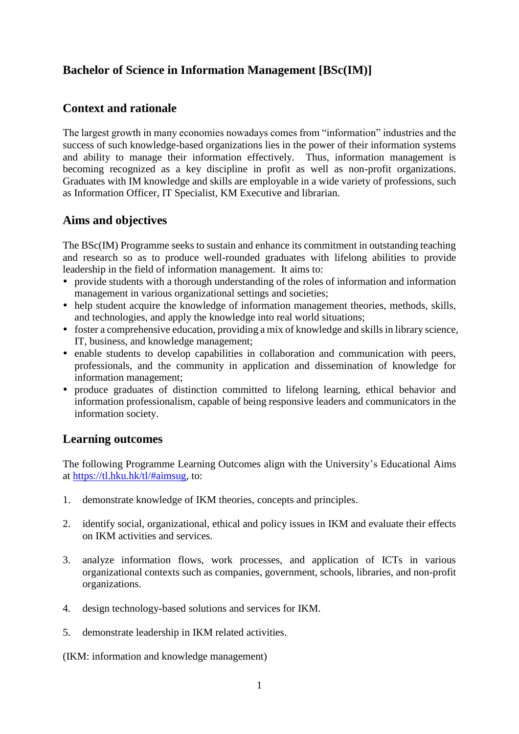# **Bachelor of Science in Information Management [BSc(IM)]**

## **Context and rationale**

The largest growth in many economies nowadays comes from "information" industries and the success of such knowledge-based organizations lies in the power of their information systems and ability to manage their information effectively. Thus, information management is becoming recognized as a key discipline in profit as well as non-profit organizations. Graduates with IM knowledge and skills are employable in a wide variety of professions, such as Information Officer, IT Specialist, KM Executive and librarian.

### **Aims and objectives**

The BSc(IM) Programme seeks to sustain and enhance its commitment in outstanding teaching and research so as to produce well-rounded graduates with lifelong abilities to provide leadership in the field of information management. It aims to:

- provide students with a thorough understanding of the roles of information and information management in various organizational settings and societies;
- help student acquire the knowledge of information management theories, methods, skills, and technologies, and apply the knowledge into real world situations;
- foster a comprehensive education, providing a mix of knowledge and skills in library science, IT, business, and knowledge management;
- enable students to develop capabilities in collaboration and communication with peers, professionals, and the community in application and dissemination of knowledge for information management;
- produce graduates of distinction committed to lifelong learning, ethical behavior and information professionalism, capable of being responsive leaders and communicators in the information society.

### **Learning outcomes**

The following Programme Learning Outcomes align with the University's Educational Aims at [https://tl.hku.hk/tl/#aimsug,](https://tl.hku.hk/tl/#aimsug) to:

- 1. demonstrate knowledge of IKM theories, concepts and principles.
- 2. identify social, organizational, ethical and policy issues in IKM and evaluate their effects on IKM activities and services.
- 3. analyze information flows, work processes, and application of ICTs in various organizational contexts such as companies, government, schools, libraries, and non-profit organizations.
- 4. design technology-based solutions and services for IKM.
- 5. demonstrate leadership in IKM related activities.

(IKM: information and knowledge management)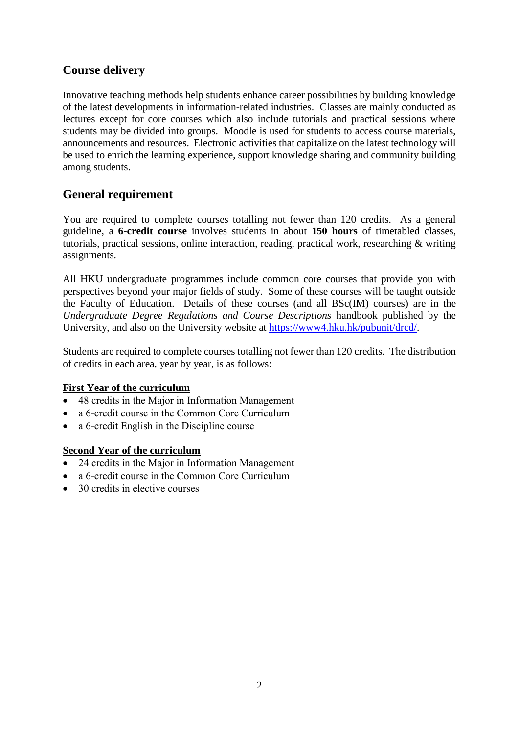# **Course delivery**

Innovative teaching methods help students enhance career possibilities by building knowledge of the latest developments in information-related industries. Classes are mainly conducted as lectures except for core courses which also include tutorials and practical sessions where students may be divided into groups. Moodle is used for students to access course materials, announcements and resources. Electronic activities that capitalize on the latest technology will be used to enrich the learning experience, support knowledge sharing and community building among students.

## **General requirement**

You are required to complete courses totalling not fewer than 120 credits. As a general guideline, a **6-credit course** involves students in about **150 hours** of timetabled classes, tutorials, practical sessions, online interaction, reading, practical work, researching & writing assignments.

All HKU undergraduate programmes include common core courses that provide you with perspectives beyond your major fields of study. Some of these courses will be taught outside the Faculty of Education. Details of these courses (and all BSc(IM) courses) are in the *Undergraduate Degree Regulations and Course Descriptions* handbook published by the University, and also on the University website at [https://www4.hku.hk/pubunit/drcd/.](https://www4.hku.hk/pubunit/drcd/)

Students are required to complete courses totalling not fewer than 120 credits. The distribution of credits in each area, year by year, is as follows:

### **First Year of the curriculum**

- 48 credits in the Major in Information Management
- a 6-credit course in the Common Core Curriculum
- a 6-credit English in the Discipline course

### **Second Year of the curriculum**

- 24 credits in the Major in Information Management
- a 6-credit course in the Common Core Curriculum
- 30 credits in elective courses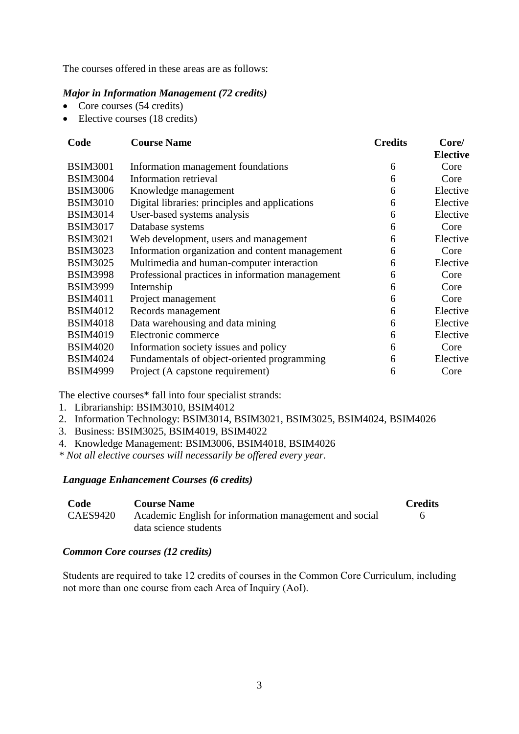The courses offered in these areas are as follows:

#### *Major in Information Management (72 credits)*

- Core courses (54 credits)
- Elective courses (18 credits)

| Code            | <b>Course Name</b>                               | <b>Credits</b> | Core/           |
|-----------------|--------------------------------------------------|----------------|-----------------|
|                 |                                                  |                | <b>Elective</b> |
| <b>BSIM3001</b> | Information management foundations               | 6              | Core            |
| <b>BSIM3004</b> | Information retrieval                            | 6              | Core            |
| <b>BSIM3006</b> | Knowledge management                             | 6              | Elective        |
| <b>BSIM3010</b> | Digital libraries: principles and applications   | 6              | Elective        |
| <b>BSIM3014</b> | User-based systems analysis                      | 6              | Elective        |
| <b>BSIM3017</b> | Database systems                                 | 6              | Core            |
| <b>BSIM3021</b> | Web development, users and management            | 6              | Elective        |
| <b>BSIM3023</b> | Information organization and content management  | 6              | Core            |
| <b>BSIM3025</b> | Multimedia and human-computer interaction        | 6              | Elective        |
| <b>BSIM3998</b> | Professional practices in information management | 6              | Core            |
| <b>BSIM3999</b> | Internship                                       | 6              | Core            |
| <b>BSIM4011</b> | Project management                               | 6              | Core            |
| <b>BSIM4012</b> | Records management                               | 6              | Elective        |
| <b>BSIM4018</b> | Data warehousing and data mining                 | 6              | Elective        |
| <b>BSIM4019</b> | Electronic commerce                              | 6              | Elective        |
| <b>BSIM4020</b> | Information society issues and policy            | 6              | Core            |
| <b>BSIM4024</b> | Fundamentals of object-oriented programming      | 6              | Elective        |
| <b>BSIM4999</b> | Project (A capstone requirement)                 | 6              | Core            |

The elective courses\* fall into four specialist strands:

- 1. Librarianship: BSIM3010, BSIM4012
- 2. Information Technology: BSIM3014, BSIM3021, BSIM3025, BSIM4024, BSIM4026
- 3. Business: BSIM3025, BSIM4019, BSIM4022
- 4. Knowledge Management: BSIM3006, BSIM4018, BSIM4026
- *\* Not all elective courses will necessarily be offered every year.*

*Language Enhancement Courses (6 credits)*

| Code            | <b>Course Name</b>                                     | <b>Credits</b> |
|-----------------|--------------------------------------------------------|----------------|
| <b>CAES9420</b> | Academic English for information management and social |                |
|                 | data science students                                  |                |

#### *Common Core courses (12 credits)*

Students are required to take 12 credits of courses in the Common Core Curriculum, including not more than one course from each Area of Inquiry (AoI).